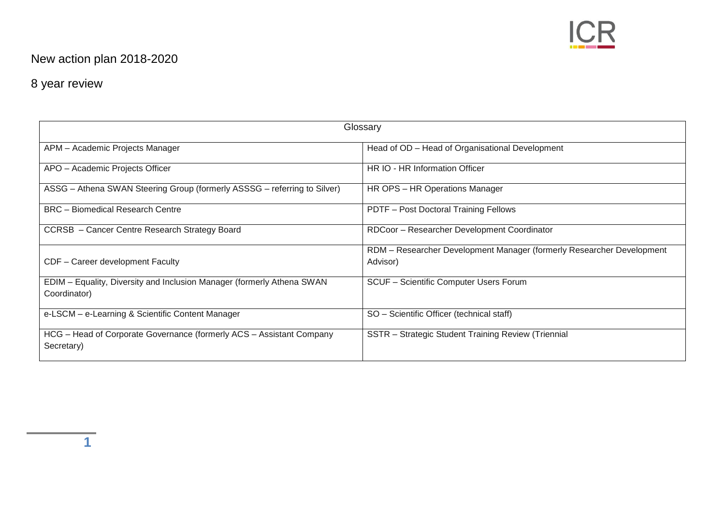

## New action plan 2018-2020

## 8 year review

| Glossary                                                                               |                                                                                   |  |  |
|----------------------------------------------------------------------------------------|-----------------------------------------------------------------------------------|--|--|
| APM - Academic Projects Manager                                                        | Head of OD - Head of Organisational Development                                   |  |  |
| APO - Academic Projects Officer                                                        | HR IO - HR Information Officer                                                    |  |  |
| ASSG - Athena SWAN Steering Group (formerly ASSSG - referring to Silver)               | HR OPS - HR Operations Manager                                                    |  |  |
| <b>BRC</b> - Biomedical Research Centre                                                | PDTF - Post Doctoral Training Fellows                                             |  |  |
| CCRSB - Cancer Centre Research Strategy Board                                          | RDCoor - Researcher Development Coordinator                                       |  |  |
| CDF - Career development Faculty                                                       | RDM - Researcher Development Manager (formerly Researcher Development<br>Advisor) |  |  |
| EDIM - Equality, Diversity and Inclusion Manager (formerly Athena SWAN<br>Coordinator) | SCUF - Scientific Computer Users Forum                                            |  |  |
| e-LSCM - e-Learning & Scientific Content Manager                                       | SO - Scientific Officer (technical staff)                                         |  |  |
| HCG - Head of Corporate Governance (formerly ACS - Assistant Company<br>Secretary)     | SSTR - Strategic Student Training Review (Triennial                               |  |  |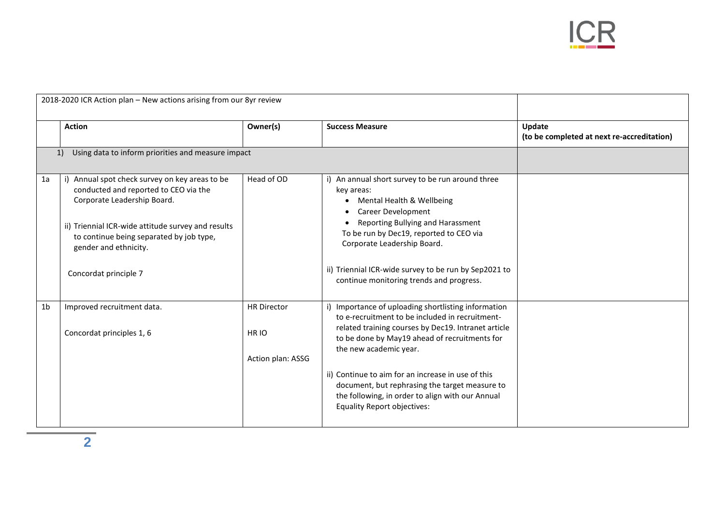

| 2018-2020 ICR Action plan - New actions arising from our 8yr review |                                                                                                                                                                                                                                                                            |                                       |                                                                                                                                                                                                                                                                                                                                                    |                                                      |
|---------------------------------------------------------------------|----------------------------------------------------------------------------------------------------------------------------------------------------------------------------------------------------------------------------------------------------------------------------|---------------------------------------|----------------------------------------------------------------------------------------------------------------------------------------------------------------------------------------------------------------------------------------------------------------------------------------------------------------------------------------------------|------------------------------------------------------|
|                                                                     | <b>Action</b>                                                                                                                                                                                                                                                              | Owner(s)                              | <b>Success Measure</b>                                                                                                                                                                                                                                                                                                                             | Update<br>(to be completed at next re-accreditation) |
|                                                                     | Using data to inform priorities and measure impact<br>1)                                                                                                                                                                                                                   |                                       |                                                                                                                                                                                                                                                                                                                                                    |                                                      |
| 1a                                                                  | i) Annual spot check survey on key areas to be<br>conducted and reported to CEO via the<br>Corporate Leadership Board.<br>ii) Triennial ICR-wide attitude survey and results<br>to continue being separated by job type,<br>gender and ethnicity.<br>Concordat principle 7 | Head of OD                            | i) An annual short survey to be run around three<br>key areas:<br>Mental Health & Wellbeing<br>$\bullet$<br>Career Development<br>Reporting Bullying and Harassment<br>To be run by Dec19, reported to CEO via<br>Corporate Leadership Board.<br>ii) Triennial ICR-wide survey to be run by Sep2021 to<br>continue monitoring trends and progress. |                                                      |
| 1 <sub>b</sub>                                                      | Improved recruitment data.                                                                                                                                                                                                                                                 | <b>HR Director</b>                    | i) Importance of uploading shortlisting information                                                                                                                                                                                                                                                                                                |                                                      |
|                                                                     | Concordat principles 1, 6                                                                                                                                                                                                                                                  | HR <sub>IO</sub><br>Action plan: ASSG | to e-recruitment to be included in recruitment-<br>related training courses by Dec19. Intranet article<br>to be done by May19 ahead of recruitments for<br>the new academic year.                                                                                                                                                                  |                                                      |
|                                                                     |                                                                                                                                                                                                                                                                            |                                       | ii) Continue to aim for an increase in use of this<br>document, but rephrasing the target measure to<br>the following, in order to align with our Annual<br><b>Equality Report objectives:</b>                                                                                                                                                     |                                                      |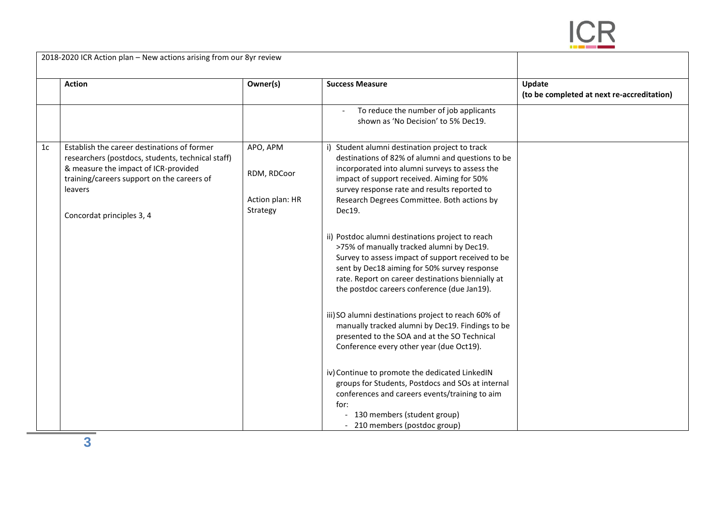

| 2018-2020 ICR Action plan - New actions arising from our 8yr review |                                                                                                                                                                                                                                |                                                        |                                                                                                                                                                                                                                                                                                                                                                                                                                                                                                                                                                                                                                                                                                                                                                                                                                                                                                                                                                                                                                 |                                                      |
|---------------------------------------------------------------------|--------------------------------------------------------------------------------------------------------------------------------------------------------------------------------------------------------------------------------|--------------------------------------------------------|---------------------------------------------------------------------------------------------------------------------------------------------------------------------------------------------------------------------------------------------------------------------------------------------------------------------------------------------------------------------------------------------------------------------------------------------------------------------------------------------------------------------------------------------------------------------------------------------------------------------------------------------------------------------------------------------------------------------------------------------------------------------------------------------------------------------------------------------------------------------------------------------------------------------------------------------------------------------------------------------------------------------------------|------------------------------------------------------|
|                                                                     | <b>Action</b>                                                                                                                                                                                                                  | Owner(s)                                               | <b>Success Measure</b>                                                                                                                                                                                                                                                                                                                                                                                                                                                                                                                                                                                                                                                                                                                                                                                                                                                                                                                                                                                                          | Update<br>(to be completed at next re-accreditation) |
|                                                                     |                                                                                                                                                                                                                                |                                                        | To reduce the number of job applicants<br>shown as 'No Decision' to 5% Dec19.                                                                                                                                                                                                                                                                                                                                                                                                                                                                                                                                                                                                                                                                                                                                                                                                                                                                                                                                                   |                                                      |
| 1 <sub>c</sub>                                                      | Establish the career destinations of former<br>researchers (postdocs, students, technical staff)<br>& measure the impact of ICR-provided<br>training/careers support on the careers of<br>leavers<br>Concordat principles 3, 4 | APO, APM<br>RDM, RDCoor<br>Action plan: HR<br>Strategy | i) Student alumni destination project to track<br>destinations of 82% of alumni and questions to be<br>incorporated into alumni surveys to assess the<br>impact of support received. Aiming for 50%<br>survey response rate and results reported to<br>Research Degrees Committee. Both actions by<br>Dec19.<br>ii) Postdoc alumni destinations project to reach<br>>75% of manually tracked alumni by Dec19.<br>Survey to assess impact of support received to be<br>sent by Dec18 aiming for 50% survey response<br>rate. Report on career destinations biennially at<br>the postdoc careers conference (due Jan19).<br>iii) SO alumni destinations project to reach 60% of<br>manually tracked alumni by Dec19. Findings to be<br>presented to the SOA and at the SO Technical<br>Conference every other year (due Oct19).<br>iv) Continue to promote the dedicated LinkedIN<br>groups for Students, Postdocs and SOs at internal<br>conferences and careers events/training to aim<br>for:<br>- 130 members (student group) |                                                      |
|                                                                     |                                                                                                                                                                                                                                |                                                        | - 210 members (postdoc group)                                                                                                                                                                                                                                                                                                                                                                                                                                                                                                                                                                                                                                                                                                                                                                                                                                                                                                                                                                                                   |                                                      |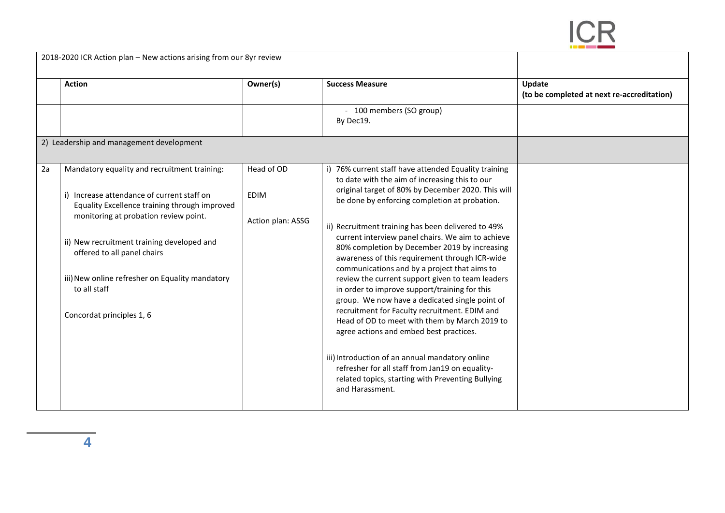

| 2018-2020 ICR Action plan - New actions arising from our 8yr review |                                                                                                                                                                                                                                                                                                                                                                   |                                                |                                                                                                                                                                                                                                                                                                                                                                                                                                                                                                                                                                                                                                                                                                                                                                              |                                                      |
|---------------------------------------------------------------------|-------------------------------------------------------------------------------------------------------------------------------------------------------------------------------------------------------------------------------------------------------------------------------------------------------------------------------------------------------------------|------------------------------------------------|------------------------------------------------------------------------------------------------------------------------------------------------------------------------------------------------------------------------------------------------------------------------------------------------------------------------------------------------------------------------------------------------------------------------------------------------------------------------------------------------------------------------------------------------------------------------------------------------------------------------------------------------------------------------------------------------------------------------------------------------------------------------------|------------------------------------------------------|
|                                                                     | <b>Action</b>                                                                                                                                                                                                                                                                                                                                                     | Owner(s)                                       | <b>Success Measure</b>                                                                                                                                                                                                                                                                                                                                                                                                                                                                                                                                                                                                                                                                                                                                                       | Update<br>(to be completed at next re-accreditation) |
|                                                                     |                                                                                                                                                                                                                                                                                                                                                                   |                                                | - 100 members (SO group)<br>By Dec19.                                                                                                                                                                                                                                                                                                                                                                                                                                                                                                                                                                                                                                                                                                                                        |                                                      |
|                                                                     | 2) Leadership and management development                                                                                                                                                                                                                                                                                                                          |                                                |                                                                                                                                                                                                                                                                                                                                                                                                                                                                                                                                                                                                                                                                                                                                                                              |                                                      |
| 2a                                                                  | Mandatory equality and recruitment training:<br>i) Increase attendance of current staff on<br>Equality Excellence training through improved<br>monitoring at probation review point.<br>ii) New recruitment training developed and<br>offered to all panel chairs<br>iii) New online refresher on Equality mandatory<br>to all staff<br>Concordat principles 1, 6 | Head of OD<br><b>EDIM</b><br>Action plan: ASSG | 76% current staff have attended Equality training<br>to date with the aim of increasing this to our<br>original target of 80% by December 2020. This will<br>be done by enforcing completion at probation.<br>ii) Recruitment training has been delivered to 49%<br>current interview panel chairs. We aim to achieve<br>80% completion by December 2019 by increasing<br>awareness of this requirement through ICR-wide<br>communications and by a project that aims to<br>review the current support given to team leaders<br>in order to improve support/training for this<br>group. We now have a dedicated single point of<br>recruitment for Faculty recruitment. EDIM and<br>Head of OD to meet with them by March 2019 to<br>agree actions and embed best practices. |                                                      |
|                                                                     |                                                                                                                                                                                                                                                                                                                                                                   |                                                | iii) Introduction of an annual mandatory online<br>refresher for all staff from Jan19 on equality-<br>related topics, starting with Preventing Bullying<br>and Harassment.                                                                                                                                                                                                                                                                                                                                                                                                                                                                                                                                                                                                   |                                                      |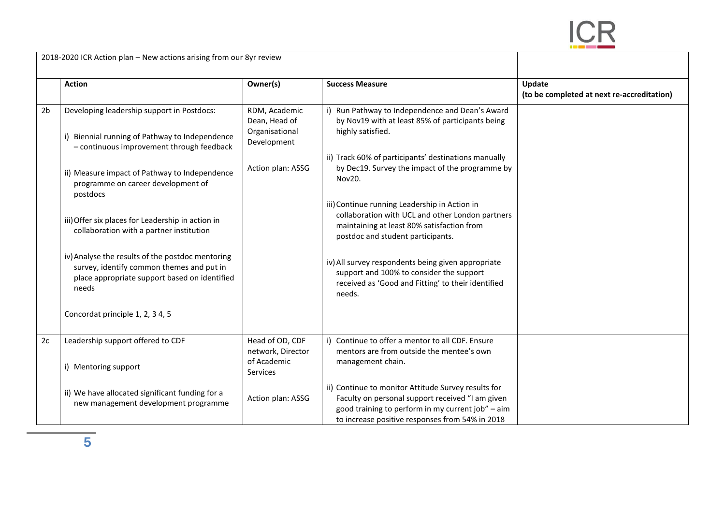

|                | 2018-2020 ICR Action plan – New actions arising from our 8yr review                                                                                     |                                                                 |                                                                                                                                                                                                                 |                                                      |
|----------------|---------------------------------------------------------------------------------------------------------------------------------------------------------|-----------------------------------------------------------------|-----------------------------------------------------------------------------------------------------------------------------------------------------------------------------------------------------------------|------------------------------------------------------|
|                | <b>Action</b>                                                                                                                                           | Owner(s)                                                        | <b>Success Measure</b>                                                                                                                                                                                          | Update<br>(to be completed at next re-accreditation) |
| 2 <sub>b</sub> | Developing leadership support in Postdocs:<br>i) Biennial running of Pathway to Independence<br>- continuous improvement through feedback               | RDM, Academic<br>Dean, Head of<br>Organisational<br>Development | i) Run Pathway to Independence and Dean's Award<br>by Nov19 with at least 85% of participants being<br>highly satisfied.                                                                                        |                                                      |
|                | ii) Measure impact of Pathway to Independence<br>programme on career development of<br>postdocs                                                         | Action plan: ASSG                                               | ii) Track 60% of participants' destinations manually<br>by Dec19. Survey the impact of the programme by<br>Nov20.                                                                                               |                                                      |
|                | iii) Offer six places for Leadership in action in<br>collaboration with a partner institution                                                           |                                                                 | iii) Continue running Leadership in Action in<br>collaboration with UCL and other London partners<br>maintaining at least 80% satisfaction from<br>postdoc and student participants.                            |                                                      |
|                | iv) Analyse the results of the postdoc mentoring<br>survey, identify common themes and put in<br>place appropriate support based on identified<br>needs |                                                                 | iv) All survey respondents being given appropriate<br>support and 100% to consider the support<br>received as 'Good and Fitting' to their identified<br>needs.                                                  |                                                      |
|                | Concordat principle 1, 2, 3 4, 5                                                                                                                        |                                                                 |                                                                                                                                                                                                                 |                                                      |
| 2c             | Leadership support offered to CDF<br>i) Mentoring support                                                                                               | Head of OD, CDF<br>network, Director<br>of Academic<br>Services | i) Continue to offer a mentor to all CDF. Ensure<br>mentors are from outside the mentee's own<br>management chain.                                                                                              |                                                      |
|                | ii) We have allocated significant funding for a<br>new management development programme                                                                 | Action plan: ASSG                                               | ii) Continue to monitor Attitude Survey results for<br>Faculty on personal support received "I am given<br>good training to perform in my current job" - aim<br>to increase positive responses from 54% in 2018 |                                                      |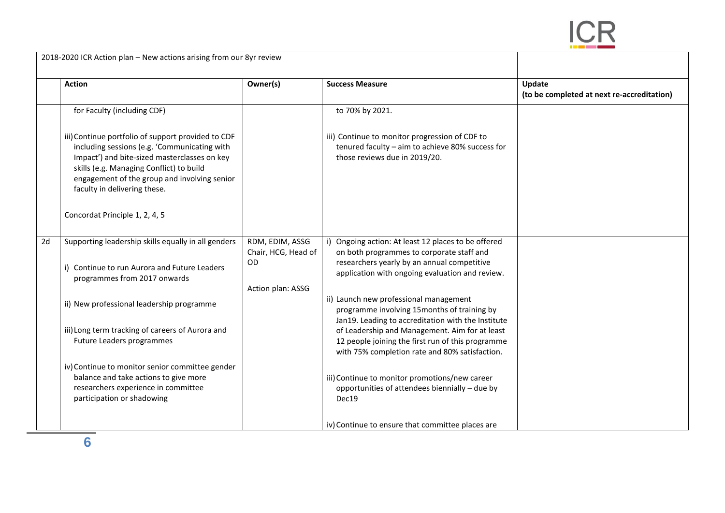

| 2018-2020 ICR Action plan - New actions arising from our 8yr review |                                                                                                                                                                                                                                                                                |                                        |                                                                                                                                                       |                                                      |
|---------------------------------------------------------------------|--------------------------------------------------------------------------------------------------------------------------------------------------------------------------------------------------------------------------------------------------------------------------------|----------------------------------------|-------------------------------------------------------------------------------------------------------------------------------------------------------|------------------------------------------------------|
|                                                                     | <b>Action</b>                                                                                                                                                                                                                                                                  | Owner(s)                               | <b>Success Measure</b>                                                                                                                                | Update<br>(to be completed at next re-accreditation) |
|                                                                     | for Faculty (including CDF)                                                                                                                                                                                                                                                    |                                        | to 70% by 2021.                                                                                                                                       |                                                      |
|                                                                     | iii) Continue portfolio of support provided to CDF<br>including sessions (e.g. 'Communicating with<br>Impact') and bite-sized masterclasses on key<br>skills (e.g. Managing Conflict) to build<br>engagement of the group and involving senior<br>faculty in delivering these. |                                        | iii) Continue to monitor progression of CDF to<br>tenured faculty - aim to achieve 80% success for<br>those reviews due in 2019/20.                   |                                                      |
|                                                                     | Concordat Principle 1, 2, 4, 5                                                                                                                                                                                                                                                 |                                        |                                                                                                                                                       |                                                      |
| 2d                                                                  | Supporting leadership skills equally in all genders                                                                                                                                                                                                                            | RDM, EDIM, ASSG<br>Chair, HCG, Head of | Ongoing action: At least 12 places to be offered<br>on both programmes to corporate staff and                                                         |                                                      |
|                                                                     | i) Continue to run Aurora and Future Leaders<br>programmes from 2017 onwards                                                                                                                                                                                                   | OD<br>Action plan: ASSG                | researchers yearly by an annual competitive<br>application with ongoing evaluation and review.                                                        |                                                      |
|                                                                     | ii) New professional leadership programme                                                                                                                                                                                                                                      |                                        | ii) Launch new professional management<br>programme involving 15months of training by<br>Jan19. Leading to accreditation with the Institute           |                                                      |
|                                                                     | iii) Long term tracking of careers of Aurora and<br>Future Leaders programmes                                                                                                                                                                                                  |                                        | of Leadership and Management. Aim for at least<br>12 people joining the first run of this programme<br>with 75% completion rate and 80% satisfaction. |                                                      |
|                                                                     | iv) Continue to monitor senior committee gender<br>balance and take actions to give more<br>researchers experience in committee<br>participation or shadowing                                                                                                                  |                                        | iii) Continue to monitor promotions/new career<br>opportunities of attendees biennially - due by<br>Dec19                                             |                                                      |
|                                                                     |                                                                                                                                                                                                                                                                                |                                        | iv) Continue to ensure that committee places are                                                                                                      |                                                      |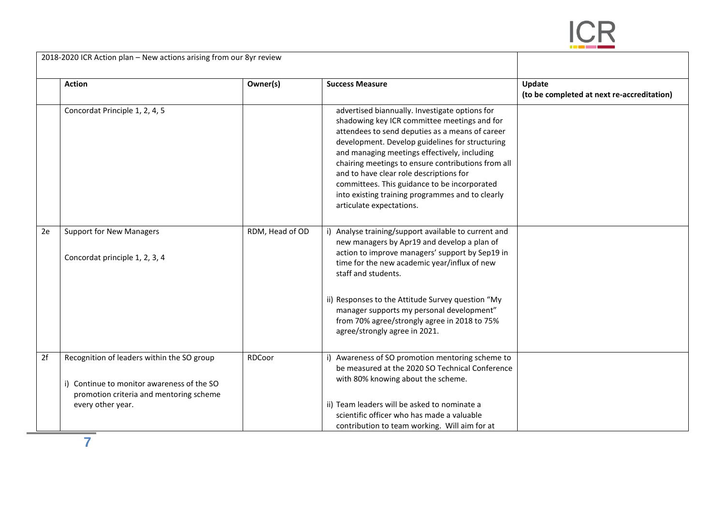

**Action Owner(s) Success Measure Update (to be completed at next re-accreditation)** Concordat Principle 1, 2, 4, 5 advertised biannually. Investigate options for shadowing key ICR committee meetings and for attendees to send deputies as a means of career development. Develop guidelines for structuring and managing meetings effectively, including chairing meetings to ensure contributions from all and to have clear role descriptions for committees. This guidance to be incorporated into existing training programmes and to clearly articulate expectations. 2e Support for New Managers Concordat principle 1, 2, 3, 4 RDM, Head of OD  $\parallel$  i) Analyse training/support available to current and new managers by Apr19 and develop a plan of action to improve managers' support by Sep19 in time for the new academic year/influx of new staff and students. ii) Responses to the Attitude Survey question "My manager supports my personal development" from 70% agree/strongly agree in 2018 to 75% agree/strongly agree in 2021. 2f Recognition of leaders within the SO group i) Continue to monitor awareness of the SO promotion criteria and mentoring scheme every other year. RDCoor i) Awareness of SO promotion mentoring scheme to be measured at the 2020 SO Technical Conference with 80% knowing about the scheme. ii) Team leaders will be asked to nominate a scientific officer who has made a valuable

contribution to team working. Will aim for at

2018-2020 ICR Action plan – New actions arising from our 8yr review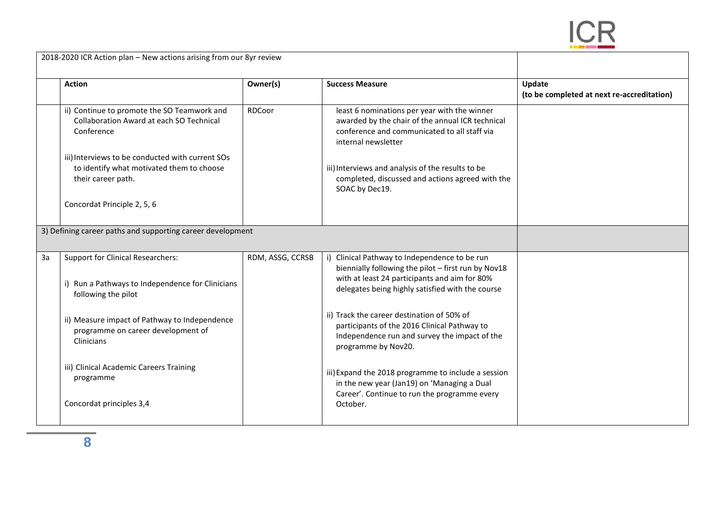

| 2018-2020 ICR Action plan - New actions arising from our 8yr review |                                                                                                                     |                  |                                                                                                                                                                                                           |                                                      |
|---------------------------------------------------------------------|---------------------------------------------------------------------------------------------------------------------|------------------|-----------------------------------------------------------------------------------------------------------------------------------------------------------------------------------------------------------|------------------------------------------------------|
|                                                                     | <b>Action</b>                                                                                                       | Owner(s)         | <b>Success Measure</b>                                                                                                                                                                                    | Update<br>(to be completed at next re-accreditation) |
|                                                                     | ii) Continue to promote the SO Teamwork and<br><b>Collaboration Award at each SO Technical</b><br>Conference        | RDCoor           | least 6 nominations per year with the winner<br>awarded by the chair of the annual ICR technical<br>conference and communicated to all staff via<br>internal newsletter                                   |                                                      |
|                                                                     | iii) Interviews to be conducted with current SOs<br>to identify what motivated them to choose<br>their career path. |                  | iii) Interviews and analysis of the results to be<br>completed, discussed and actions agreed with the<br>SOAC by Dec19.                                                                                   |                                                      |
|                                                                     | Concordat Principle 2, 5, 6                                                                                         |                  |                                                                                                                                                                                                           |                                                      |
|                                                                     | 3) Defining career paths and supporting career development                                                          |                  |                                                                                                                                                                                                           |                                                      |
| 3a                                                                  | <b>Support for Clinical Researchers:</b><br>i) Run a Pathways to Independence for Clinicians<br>following the pilot | RDM, ASSG, CCRSB | i) Clinical Pathway to Independence to be run<br>biennially following the pilot - first run by Nov18<br>with at least 24 participants and aim for 80%<br>delegates being highly satisfied with the course |                                                      |
|                                                                     | ii) Measure impact of Pathway to Independence<br>programme on career development of<br>Clinicians                   |                  | ii) Track the career destination of 50% of<br>participants of the 2016 Clinical Pathway to<br>Independence run and survey the impact of the<br>programme by Nov20.                                        |                                                      |
|                                                                     | iii) Clinical Academic Careers Training<br>programme<br>Concordat principles 3,4                                    |                  | iii) Expand the 2018 programme to include a session<br>in the new year (Jan19) on 'Managing a Dual<br>Career'. Continue to run the programme every<br>October.                                            |                                                      |
|                                                                     |                                                                                                                     |                  |                                                                                                                                                                                                           |                                                      |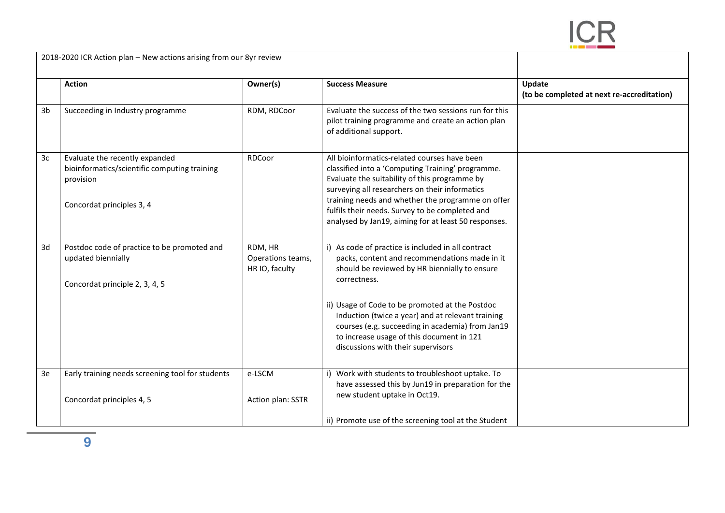

| 2018-2020 ICR Action plan - New actions arising from our 8yr review |                                                                                                                          |                                                |                                                                                                                                                                                                                                                                                                                                                                                                                     |                                                      |
|---------------------------------------------------------------------|--------------------------------------------------------------------------------------------------------------------------|------------------------------------------------|---------------------------------------------------------------------------------------------------------------------------------------------------------------------------------------------------------------------------------------------------------------------------------------------------------------------------------------------------------------------------------------------------------------------|------------------------------------------------------|
|                                                                     | <b>Action</b>                                                                                                            | Owner(s)                                       | <b>Success Measure</b>                                                                                                                                                                                                                                                                                                                                                                                              | Update<br>(to be completed at next re-accreditation) |
| 3 <sub>b</sub>                                                      | Succeeding in Industry programme                                                                                         | RDM, RDCoor                                    | Evaluate the success of the two sessions run for this<br>pilot training programme and create an action plan<br>of additional support.                                                                                                                                                                                                                                                                               |                                                      |
| 3c                                                                  | Evaluate the recently expanded<br>bioinformatics/scientific computing training<br>provision<br>Concordat principles 3, 4 | RDCoor                                         | All bioinformatics-related courses have been<br>classified into a 'Computing Training' programme.<br>Evaluate the suitability of this programme by<br>surveying all researchers on their informatics<br>training needs and whether the programme on offer<br>fulfils their needs. Survey to be completed and<br>analysed by Jan19, aiming for at least 50 responses.                                                |                                                      |
| 3d                                                                  | Postdoc code of practice to be promoted and<br>updated biennially<br>Concordat principle 2, 3, 4, 5                      | RDM, HR<br>Operations teams,<br>HR IO, faculty | i) As code of practice is included in all contract<br>packs, content and recommendations made in it<br>should be reviewed by HR biennially to ensure<br>correctness.<br>ii) Usage of Code to be promoted at the Postdoc<br>Induction (twice a year) and at relevant training<br>courses (e.g. succeeding in academia) from Jan19<br>to increase usage of this document in 121<br>discussions with their supervisors |                                                      |
| 3e                                                                  | Early training needs screening tool for students<br>Concordat principles 4, 5                                            | e-LSCM<br>Action plan: SSTR                    | i) Work with students to troubleshoot uptake. To<br>have assessed this by Jun19 in preparation for the<br>new student uptake in Oct19.                                                                                                                                                                                                                                                                              |                                                      |
|                                                                     |                                                                                                                          |                                                | ii) Promote use of the screening tool at the Student                                                                                                                                                                                                                                                                                                                                                                |                                                      |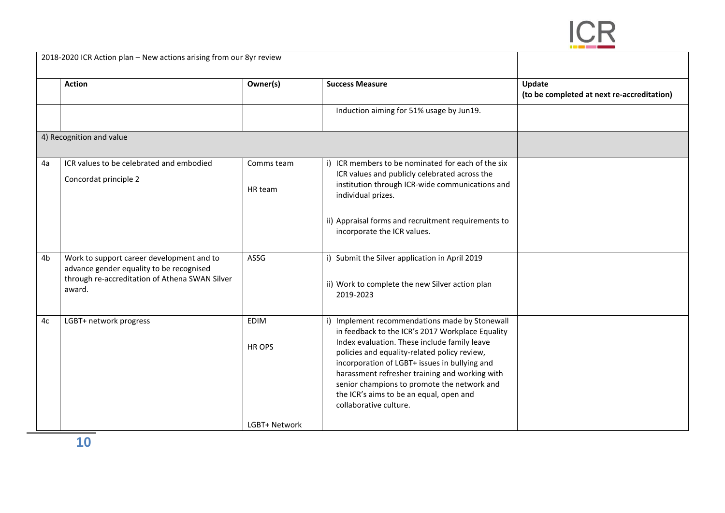

| 2018-2020 ICR Action plan - New actions arising from our 8yr review |                                                                                                                                                   |                                        |                                                                                                                                                                                                                                                                                                                                                                                                                           |                                                      |
|---------------------------------------------------------------------|---------------------------------------------------------------------------------------------------------------------------------------------------|----------------------------------------|---------------------------------------------------------------------------------------------------------------------------------------------------------------------------------------------------------------------------------------------------------------------------------------------------------------------------------------------------------------------------------------------------------------------------|------------------------------------------------------|
|                                                                     | <b>Action</b>                                                                                                                                     | Owner(s)                               | <b>Success Measure</b>                                                                                                                                                                                                                                                                                                                                                                                                    | Update<br>(to be completed at next re-accreditation) |
|                                                                     |                                                                                                                                                   |                                        | Induction aiming for 51% usage by Jun19.                                                                                                                                                                                                                                                                                                                                                                                  |                                                      |
|                                                                     | 4) Recognition and value                                                                                                                          |                                        |                                                                                                                                                                                                                                                                                                                                                                                                                           |                                                      |
| 4a                                                                  | ICR values to be celebrated and embodied<br>Concordat principle 2                                                                                 | Comms team<br>HR team                  | i) ICR members to be nominated for each of the six<br>ICR values and publicly celebrated across the<br>institution through ICR-wide communications and<br>individual prizes.<br>ii) Appraisal forms and recruitment requirements to<br>incorporate the ICR values.                                                                                                                                                        |                                                      |
| 4b                                                                  | Work to support career development and to<br>advance gender equality to be recognised<br>through re-accreditation of Athena SWAN Silver<br>award. | ASSG                                   | i) Submit the Silver application in April 2019<br>ii) Work to complete the new Silver action plan<br>2019-2023                                                                                                                                                                                                                                                                                                            |                                                      |
| 4c                                                                  | LGBT+ network progress                                                                                                                            | <b>EDIM</b><br>HR OPS<br>LGBT+ Network | i) Implement recommendations made by Stonewall<br>in feedback to the ICR's 2017 Workplace Equality<br>Index evaluation. These include family leave<br>policies and equality-related policy review,<br>incorporation of LGBT+ issues in bullying and<br>harassment refresher training and working with<br>senior champions to promote the network and<br>the ICR's aims to be an equal, open and<br>collaborative culture. |                                                      |